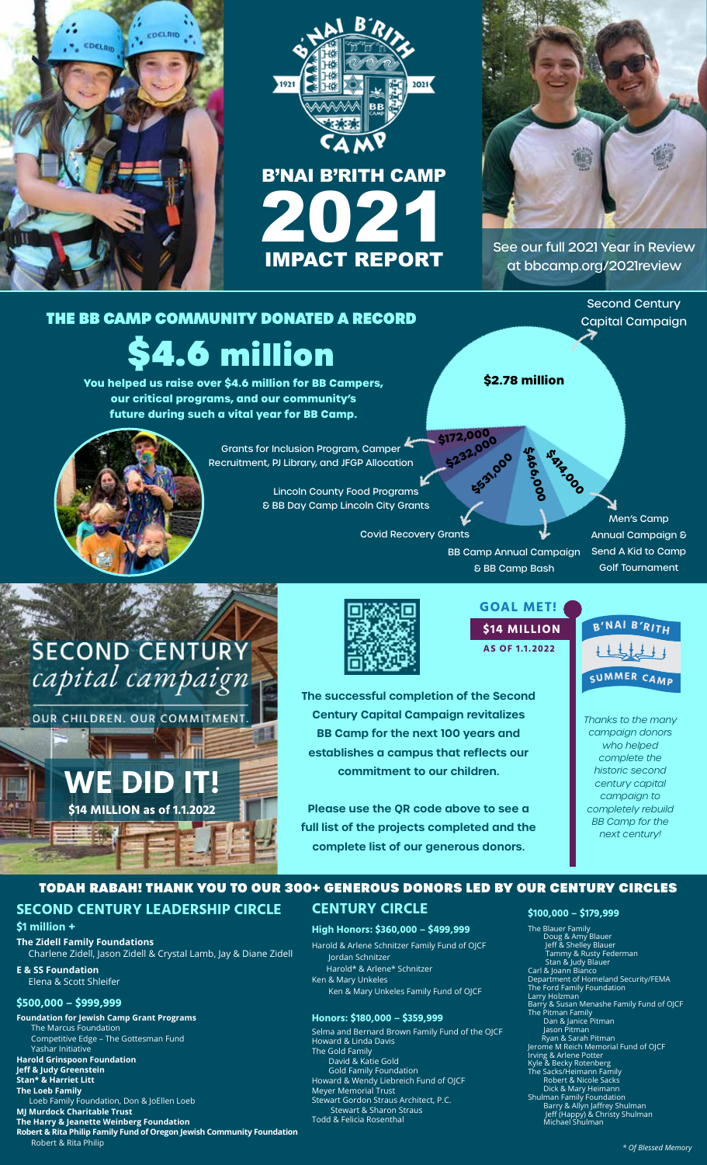







[See our full 2021 Year in Review](https://bbcamp.org/2021review/)  at bbcamp.org/2021review

Second Century Capital Campaign

## THE BB CAMP COMMUNITY DONATED A RECORD

# \$4.6 million

**You helped us raise over \$4.6 million for BB Campers, our critical programs, and our community's future during such a vital year for BB Camp.** 



Grants for Inclusion Program, Camper Recruitment, PJ Library, and JFGP Allocation

> Lincoln County Food Programs & BB Day Camp Lincoln City Grants

> > Covid Recovery Grants

**\$2.78 million**

**\$414,000 \$466,000** 

Men's Camp Annual Campaign & Send A Kid to Camp Golf Tournament

BB Camp Annual Campaign & BB Camp Bash

**\$531,000** 

**\$232,000 \$172,000** 

## **SECOND CENTURY** capital campaign

 $\mathcal{L}(\mathcal{F})$  with  $\mathcal{L}(\mathcal{F})$ 

OUR CHILDREN. OUR COMMITMENT.





**The successful completion of the Second Century Capital Campaign revitalizes BB Camp for the next 100 years and establishes a campus that reflects our commitment to our children.** 

**Please use the QR code above to see a full list of the projects completed and the complete list of our generous donors.** 



SUMMER CAMP

*Thanks to the many campaign donors who helped complete the historic second century capital campaign to completely rebuild BB Camp for the next century!*

## TODAH RABAH! THANK YOU TO OUR 300+ GENEROUS DONORS LED BY OUR CENTURY CIRCLES

### **SECOND CENTURY LEADERSHIP CIRCLE**

#### **\$1 million +**

**The Zidell Family Foundations** Charlene Zidell, Jason Zidell & Crystal Lamb, Jay & Diane Zidell

**E & SS Foundation** Elena & Scott Shleifer

#### **\$500,000 – \$999,999**

**Foundation for Jewish Camp Grant Programs**  The Marcus Foundation Competitive Edge – The Gottesman Fund Yashar Initiative **Harold Grinspoon Foundation Jeff & Judy Greenstein Stan\* & Harriet Litt The Loeb Family** Loeb Family Foundation, Don & JoEllen Loeb **MJ Murdock Charitable Trust The Harry & Jeanette Weinberg Foundation**

**Robert & Rita Philip Family Fund of Oregon Jewish Community Foundation**  Robert & Rita Philip

### **CENTURY CIRCLE**

**High Honors: \$360,000 – \$499,999** Harold & Arlene Schnitzer Family Fund of OJCF Jordan Schnitzer Harold\* & Arlene\* Schnitzer

Ken & Mary Unkeles Ken & Mary Unkeles Family Fund of OJCF

#### **Honors: \$180,000 – \$359,999**

Selma and Bernard Brown Family Fund of the OJCF Howard & Linda Davis The Gold Family David & Katie Gold Gold Family Foundation Howard & Wendy Liebreich Fund of OJCF Meyer Memorial Trust Stewart Gordon Straus Architect, P.C. Stewart & Sharon Straus

#### Todd & Felicia Rosenthal

**\$100,000 – \$179,999**

The Blauer Family<br>
Doug & Amy Blauer<br>
Jeff & Shelley Blauer<br>
Tammy & Rusty Federman<br>
Stan & Judy Blauer<br>
Carl & Joann Bianco<br>
Department of Homeland Security/FEMA<br>
The Ford Family Foundation<br>
Larry Holzman Barry & Susan Menashe Family Fund of OJCF<br>The Pitman Family<br>Dan & Janice Pitman<br>Jason Pitman<br>Ryan & Sarah Pitman<br>Igerome M Reich Memorial Fund of OJCF<br>Jerome M Reich Memorial Fund of OJCF<br>Irving & Arlene Potter<br>The Sacks/H